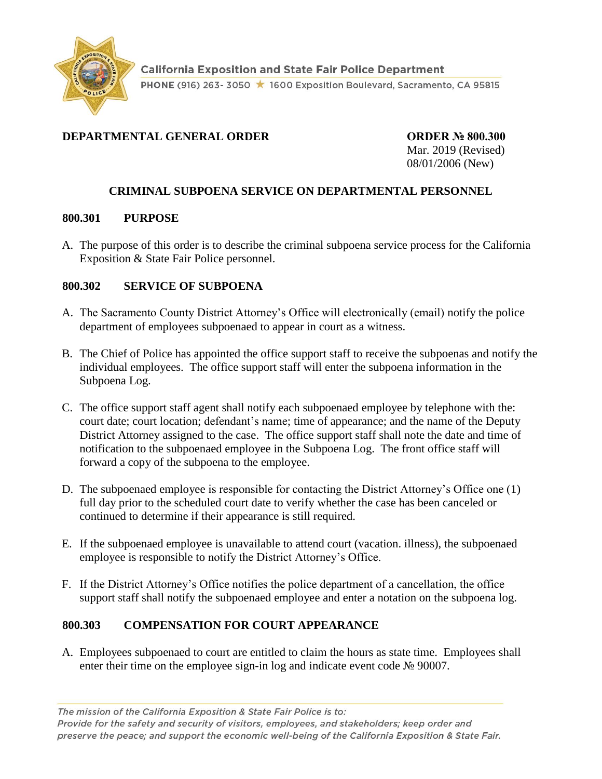

# **DEPARTMENTAL GENERAL ORDER ORDER № 800.300**

Mar. 2019 (Revised) 08/01/2006 (New)

# **CRIMINAL SUBPOENA SERVICE ON DEPARTMENTAL PERSONNEL**

#### **800.301 PURPOSE**

A. The purpose of this order is to describe the criminal subpoena service process for the California Exposition & State Fair Police personnel.

### **800.302 SERVICE OF SUBPOENA**

- A. The Sacramento County District Attorney's Office will electronically (email) notify the police department of employees subpoenaed to appear in court as a witness.
- B. The Chief of Police has appointed the office support staff to receive the subpoenas and notify the individual employees. The office support staff will enter the subpoena information in the Subpoena Log.
- C. The office support staff agent shall notify each subpoenaed employee by telephone with the: court date; court location; defendant's name; time of appearance; and the name of the Deputy District Attorney assigned to the case. The office support staff shall note the date and time of notification to the subpoenaed employee in the Subpoena Log. The front office staff will forward a copy of the subpoena to the employee.
- D. The subpoenaed employee is responsible for contacting the District Attorney's Office one (1) full day prior to the scheduled court date to verify whether the case has been canceled or continued to determine if their appearance is still required.
- E. If the subpoenaed employee is unavailable to attend court (vacation. illness), the subpoenaed employee is responsible to notify the District Attorney's Office.
- F. If the District Attorney's Office notifies the police department of a cancellation, the office support staff shall notify the subpoenaed employee and enter a notation on the subpoena log.

# **800.303 COMPENSATION FOR COURT APPEARANCE**

A. Employees subpoenaed to court are entitled to claim the hours as state time. Employees shall enter their time on the employee sign-in log and indicate event code № 90007.